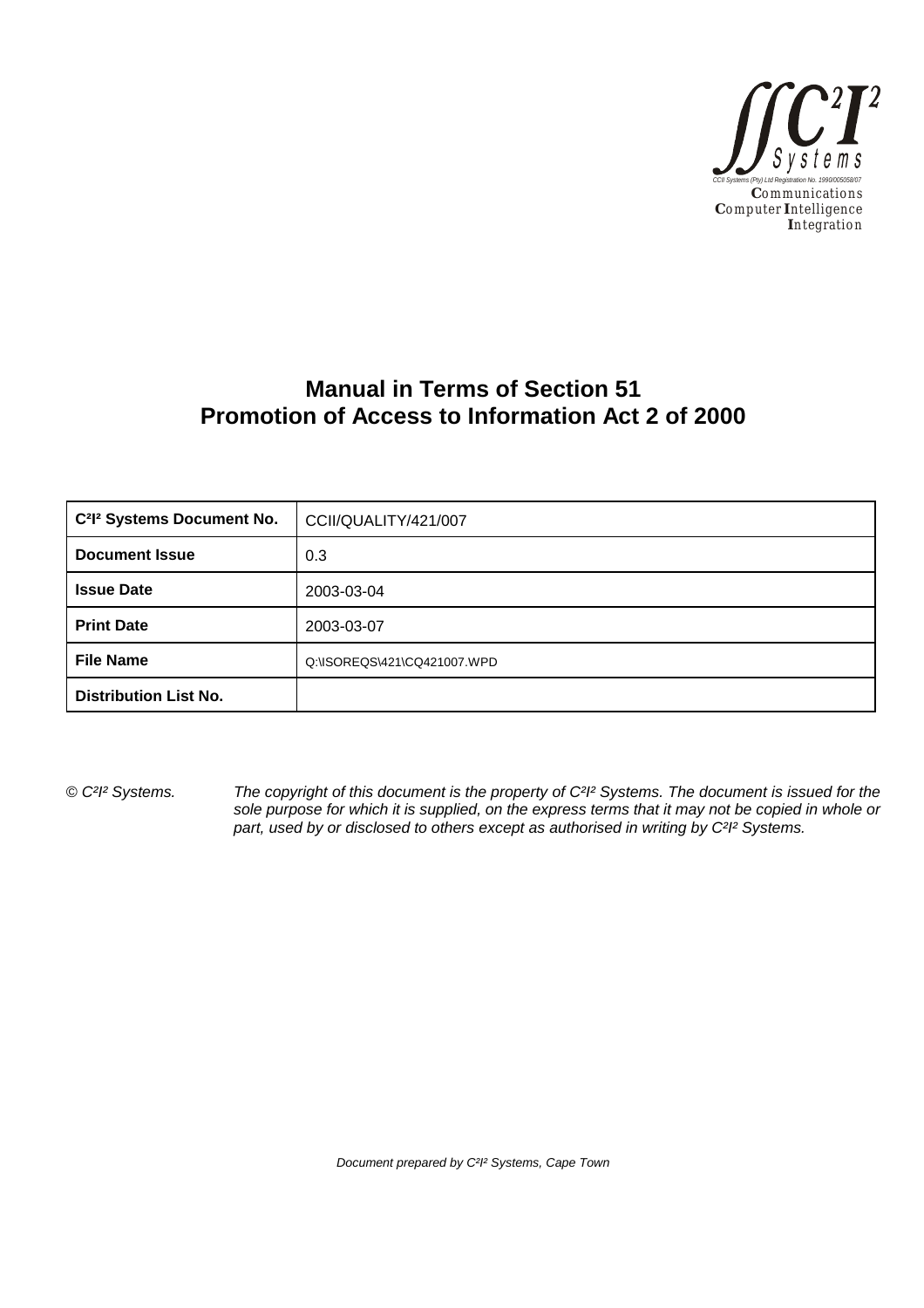

# **Manual in Terms of Section 51 Promotion of Access to Information Act 2 of 2000**

| C <sup>2</sup> I <sup>2</sup> Systems Document No. | CCII/QUALITY/421/007        |  |
|----------------------------------------------------|-----------------------------|--|
| <b>Document Issue</b>                              | 0.3                         |  |
| <b>Issue Date</b>                                  | 2003-03-04                  |  |
| <b>Print Date</b>                                  | 2003-03-07                  |  |
| <b>File Name</b>                                   | Q:\ISOREQS\421\CQ421007.WPD |  |
| <b>Distribution List No.</b>                       |                             |  |

*© C²I² Systems. The copyright of this document is the property of C²I² Systems. The document is issued for the sole purpose for which it is supplied, on the express terms that it may not be copied in whole or part, used by or disclosed to others except as authorised in writing by C²I² Systems.*

*Document prepared by C²I² Systems, Cape Town*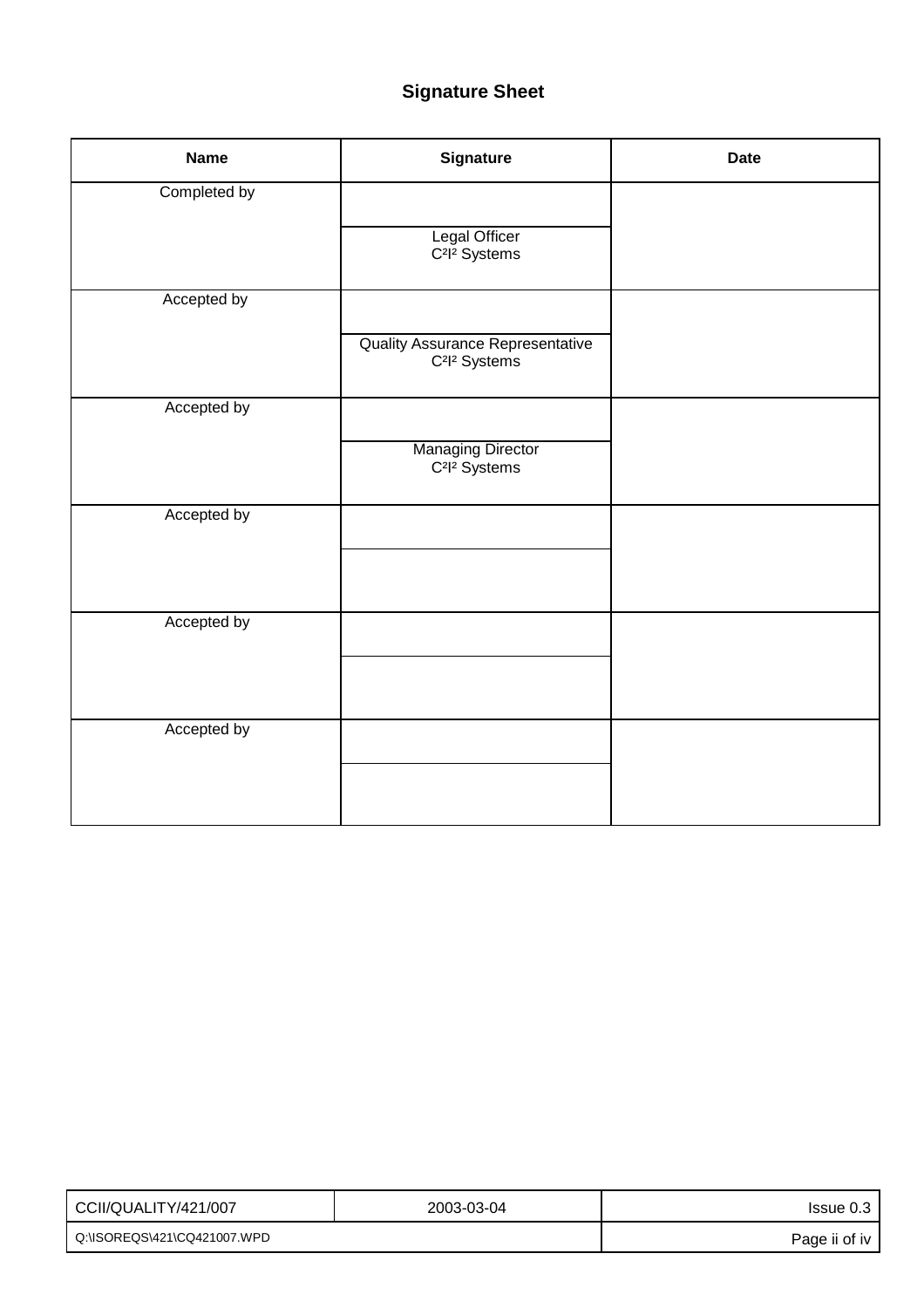# **Signature Sheet**

| <b>Name</b>  | <b>Signature</b>                                                                 | <b>Date</b> |
|--------------|----------------------------------------------------------------------------------|-------------|
| Completed by |                                                                                  |             |
|              | Legal Officer<br>C <sup>2</sup> l <sup>2</sup> Systems                           |             |
| Accepted by  |                                                                                  |             |
|              | <b>Quality Assurance Representative</b><br>C <sup>2</sup> l <sup>2</sup> Systems |             |
| Accepted by  |                                                                                  |             |
|              | <b>Managing Director</b><br>C <sup>2</sup> l <sup>2</sup> Systems                |             |
| Accepted by  |                                                                                  |             |
|              |                                                                                  |             |
| Accepted by  |                                                                                  |             |
|              |                                                                                  |             |
|              |                                                                                  |             |
| Accepted by  |                                                                                  |             |
|              |                                                                                  |             |
|              |                                                                                  |             |

| I CCII/QUALITY/421/007      | 2003-03-04 | Issue 0.3     |
|-----------------------------|------------|---------------|
| Q:\ISOREQS\421\CQ421007.WPD |            | Page ii of iv |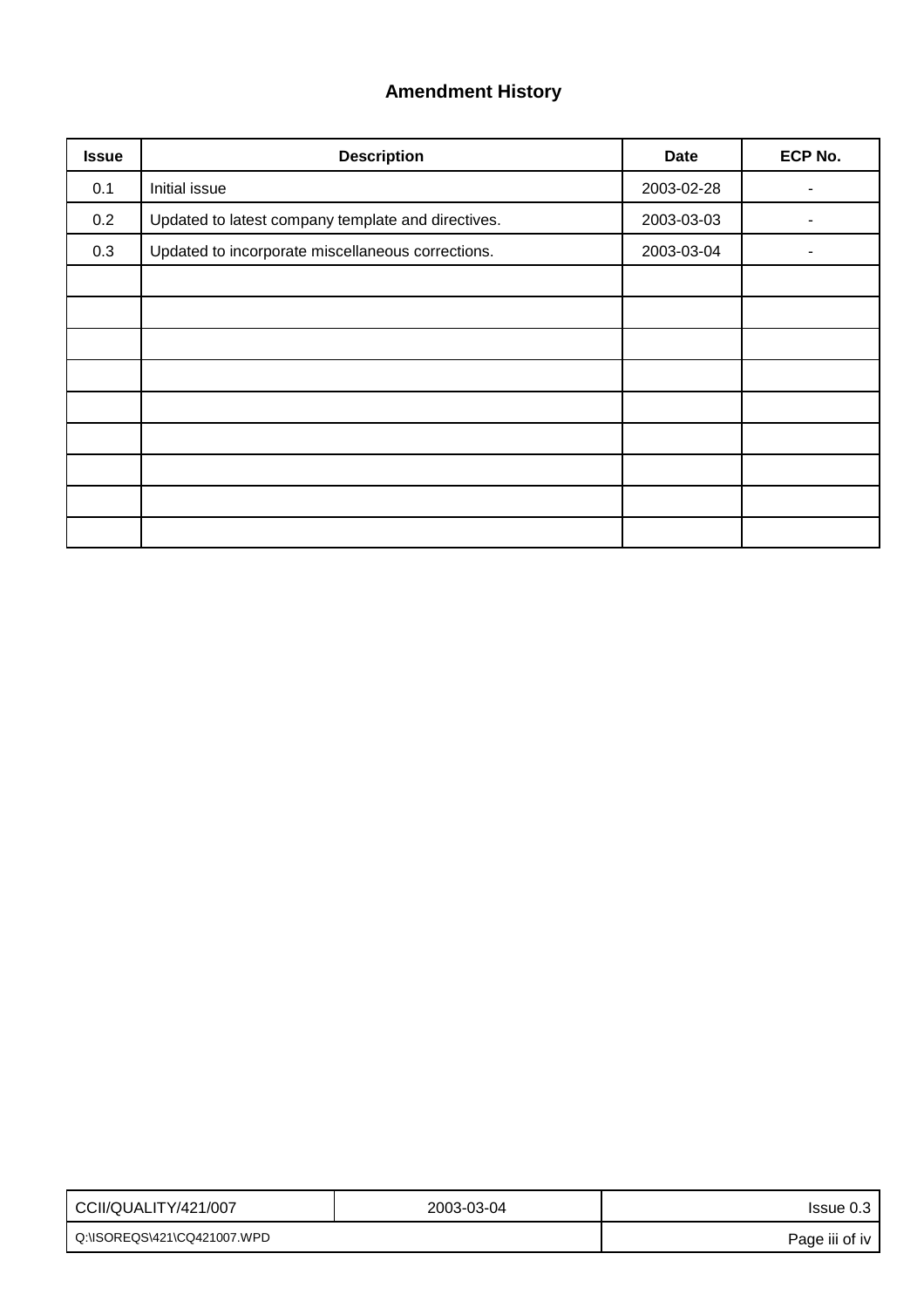## **Amendment History**

| <b>Issue</b> | <b>Description</b>                                 | <b>Date</b> | ECP No. |
|--------------|----------------------------------------------------|-------------|---------|
| 0.1          | Initial issue                                      | 2003-02-28  |         |
| 0.2          | Updated to latest company template and directives. | 2003-03-03  |         |
| 0.3          | Updated to incorporate miscellaneous corrections.  | 2003-03-04  | ۰       |
|              |                                                    |             |         |
|              |                                                    |             |         |
|              |                                                    |             |         |
|              |                                                    |             |         |
|              |                                                    |             |         |
|              |                                                    |             |         |
|              |                                                    |             |         |
|              |                                                    |             |         |
|              |                                                    |             |         |

| CCII/QUALITY/421/007        | 2003-03-04 | Issue 0.3      |
|-----------------------------|------------|----------------|
| Q:\ISOREQS\421\CQ421007.WPD |            | Page iii of iv |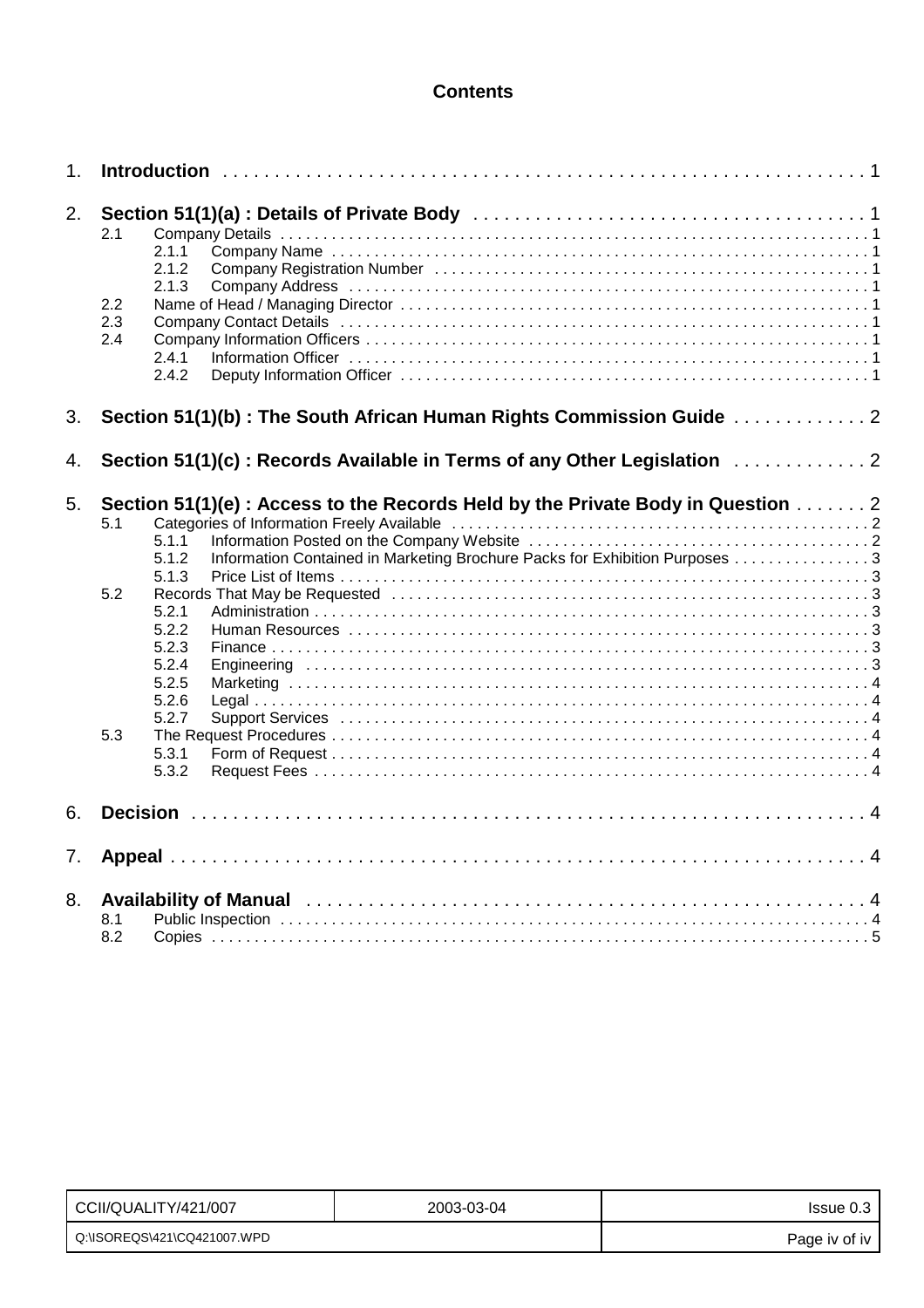## **Contents**

| 1. |                   |                                                                                                                                                                                  |  |
|----|-------------------|----------------------------------------------------------------------------------------------------------------------------------------------------------------------------------|--|
| 2. | 2.1               | 2.1.1<br>2.1.2<br>2.1.3                                                                                                                                                          |  |
|    | 2.2<br>2.3<br>2.4 | 2.4.1<br>2.4.2                                                                                                                                                                   |  |
| 3. |                   | Section 51(1)(b): The South African Human Rights Commission Guide  2                                                                                                             |  |
| 4. |                   | Section 51(1)(c): Records Available in Terms of any Other Legislation  2                                                                                                         |  |
| 5. | 5.1               | Section 51(1)(e) : Access to the Records Held by the Private Body in Question 2<br>5.1.1<br>Information Contained in Marketing Brochure Packs for Exhibition Purposes 3<br>5.1.2 |  |
|    | 5.2               | 5.1.3<br>5.2.1<br>5.2.2<br>5.2.3<br>5.2.4<br>5.2.5<br>5.2.6<br>5.2.7                                                                                                             |  |
|    | 5.3               | 5.3.1<br>5.3.2                                                                                                                                                                   |  |
| 6. |                   |                                                                                                                                                                                  |  |
| 7. |                   |                                                                                                                                                                                  |  |
| 8. | 8.1<br>8.2        |                                                                                                                                                                                  |  |

| CCII/QUALITY/421/007          | 2003-03-04 | Issue 0.3     |
|-------------------------------|------------|---------------|
| l_Q:\ISOREQS\421\CQ421007.WPD |            | Page iv of iv |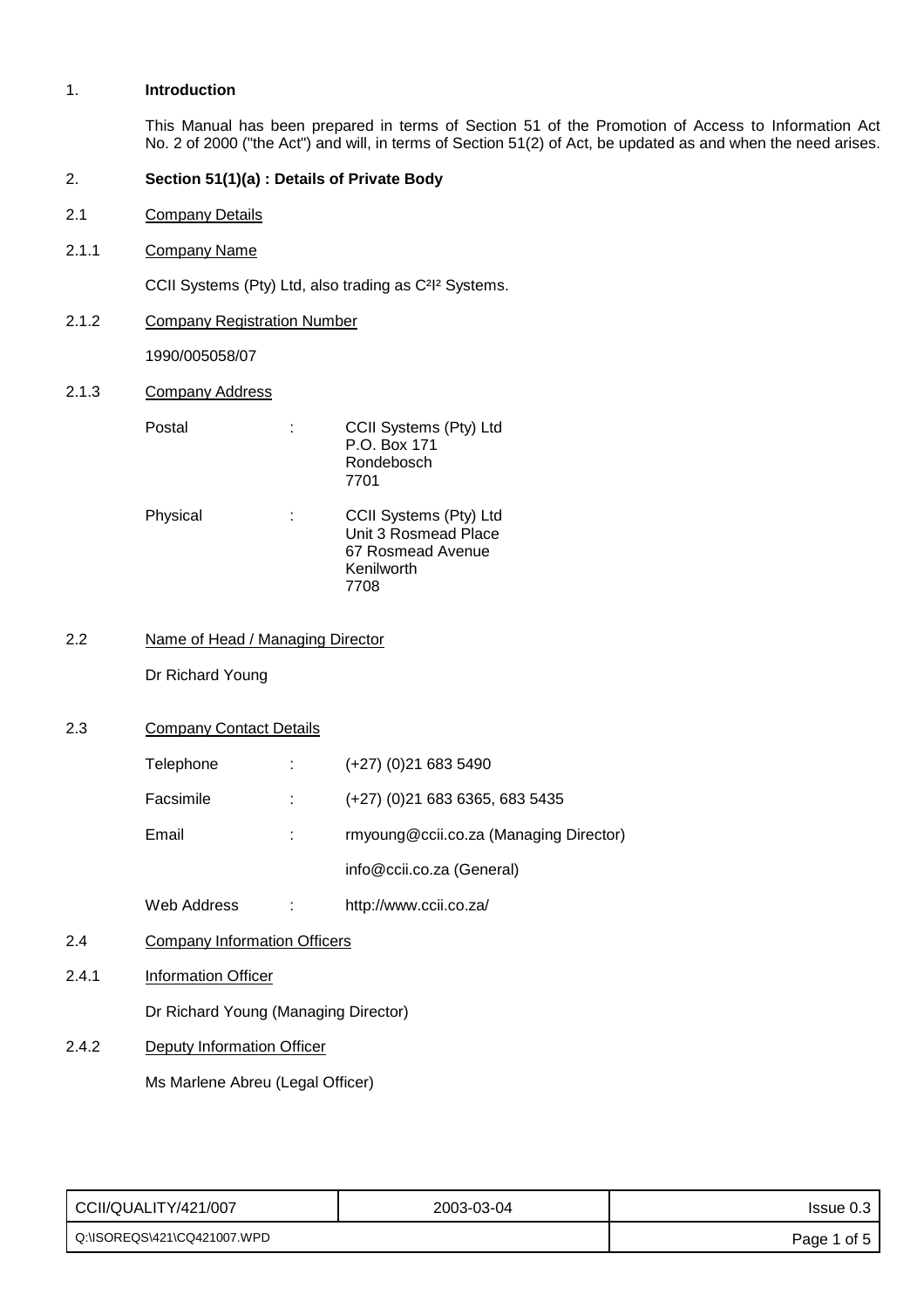## 1. **Introduction**

This Manual has been prepared in terms of Section 51 of the Promotion of Access to Information Act No. 2 of 2000 ("the Act") and will, in terms of Section 51(2) of Act, be updated as and when the need arises.

## 2. **Section 51(1)(a) : Details of Private Body**

- 2.1 Company Details
- 2.1.1 Company Name

CCII Systems (Pty) Ltd, also trading as C²I² Systems.

2.1.2 Company Registration Number

1990/005058/07

2.1.3 Company Address

| Postal   | CCII Systems (Pty) Ltd<br>P.O. Box 171<br>Rondebosch<br>7701                      |
|----------|-----------------------------------------------------------------------------------|
| Physical | CCII Systems (Pty) Ltd<br>Unit 3 Rosmead Place<br>67 Rosmead Avenue<br>Kenilworth |

2.2 Name of Head / Managing Director

Dr Richard Young

## 2.3 Company Contact Details

| Telephone | $(+27)$ (0)21 683 5490                 |
|-----------|----------------------------------------|
| Facsimile | $(+27)$ (0)21 683 6365, 683 5435       |
| Email     | rmyoung@ccii.co.za (Managing Director) |
|           | info@ccii.co.za (General)              |
|           |                                        |

- Web Address : http://www.ccii.co.za/
- 2.4 Company Information Officers
- 2.4.1 Information Officer

Dr Richard Young (Managing Director)

2.4.2 Deputy Information Officer

Ms Marlene Abreu (Legal Officer)

| CCII/QUALITY/421/007        | 2003-03-04 | Issue 0.3   |
|-----------------------------|------------|-------------|
| Q:\ISOREQS\421\CQ421007.WPD |            | Page 1 of 5 |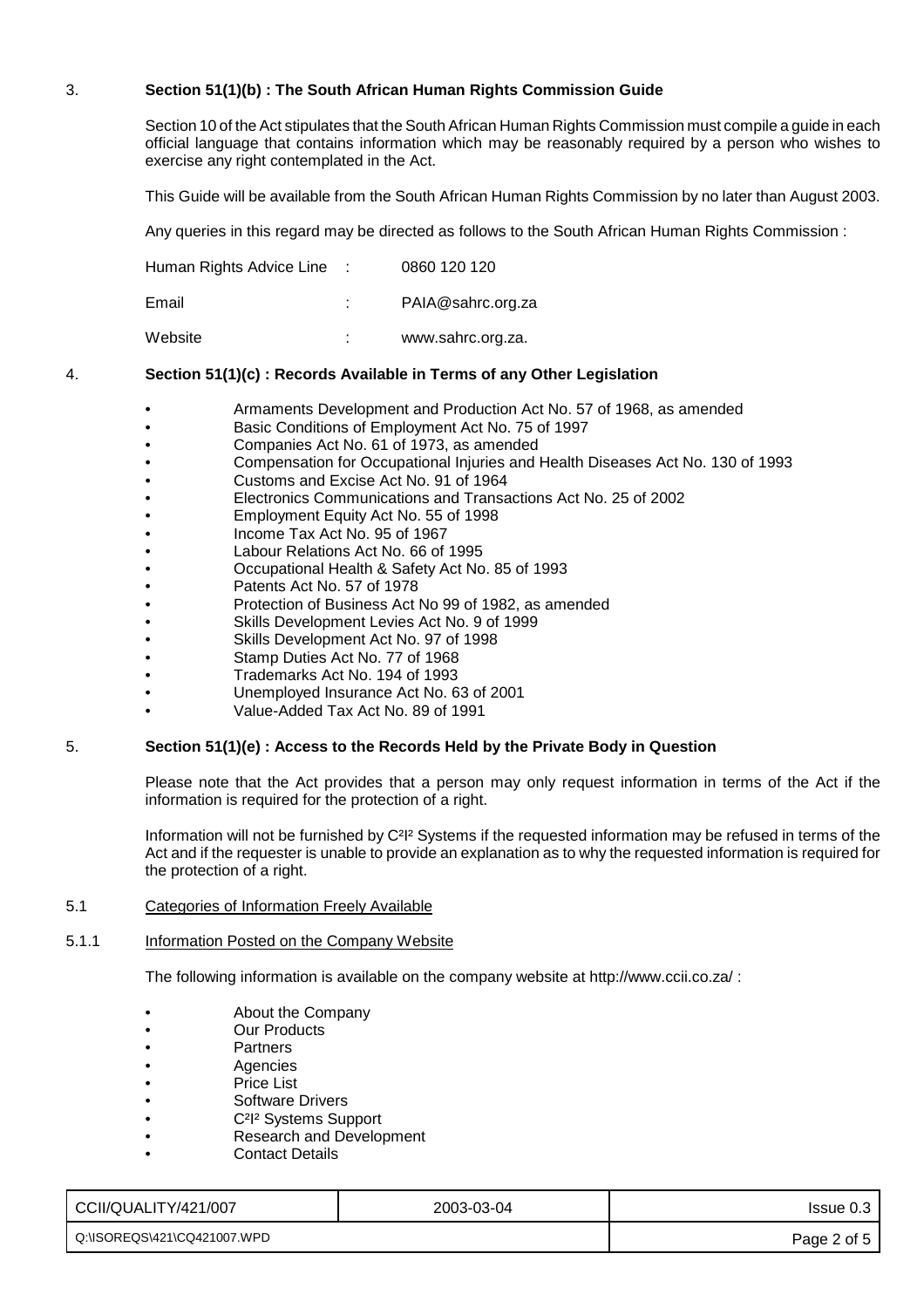## 3. **Section 51(1)(b) : The South African Human Rights Commission Guide**

Section 10 of the Act stipulates that the South African Human Rights Commission must compile a guide in each official language that contains information which may be reasonably required by a person who wishes to exercise any right contemplated in the Act.

This Guide will be available from the South African Human Rights Commission by no later than August 2003.

Any queries in this regard may be directed as follows to the South African Human Rights Commission :

| Human Rights Advice Line | 0860 120 120 |
|--------------------------|--------------|
|--------------------------|--------------|

| Email |  | PAIA@sahrc.org.za |
|-------|--|-------------------|
|-------|--|-------------------|

Website : www.sahrc.org.za.

## 4. **Section 51(1)(c) : Records Available in Terms of any Other Legislation**

- Armaments Development and Production Act No. 57 of 1968, as amended
- Basic Conditions of Employment Act No. 75 of 1997
- Companies Act No. 61 of 1973, as amended
- Compensation for Occupational Injuries and Health Diseases Act No. 130 of 1993
- Customs and Excise Act No. 91 of 1964
- Electronics Communications and Transactions Act No. 25 of 2002
- Employment Equity Act No. 55 of 1998
- Income Tax Act No. 95 of 1967
- Labour Relations Act No. 66 of 1995
- Occupational Health & Safety Act No. 85 of 1993
- Patents Act No. 57 of 1978
- Protection of Business Act No 99 of 1982, as amended
- Skills Development Levies Act No. 9 of 1999
- Skills Development Act No. 97 of 1998
- Stamp Duties Act No. 77 of 1968
- Trademarks Act No. 194 of 1993
- Unemployed Insurance Act No. 63 of 2001
- Value-Added Tax Act No. 89 of 1991

## 5. **Section 51(1)(e) : Access to the Records Held by the Private Body in Question**

Please note that the Act provides that a person may only request information in terms of the Act if the information is required for the protection of a right.

Information will not be furnished by C²I² Systems if the requested information may be refused in terms of the Act and if the requester is unable to provide an explanation as to why the requested information is required for the protection of a right.

#### 5.1 Categories of Information Freely Available

#### 5.1.1 Information Posted on the Company Website

The following information is available on the company website at http://www.ccii.co.za/ :

- About the Company
- Our Products
- Partners
- **Agencies**
- **Price List**
- Software Drivers
- C²I² Systems Support
- Research and Development
- Contact Details

| CCII/QUALITY/421/007        | 2003-03-04 | $l$ ssue 0.3 |
|-----------------------------|------------|--------------|
| Q:\ISOREQS\421\CQ421007.WPD |            | Page 2 of 5  |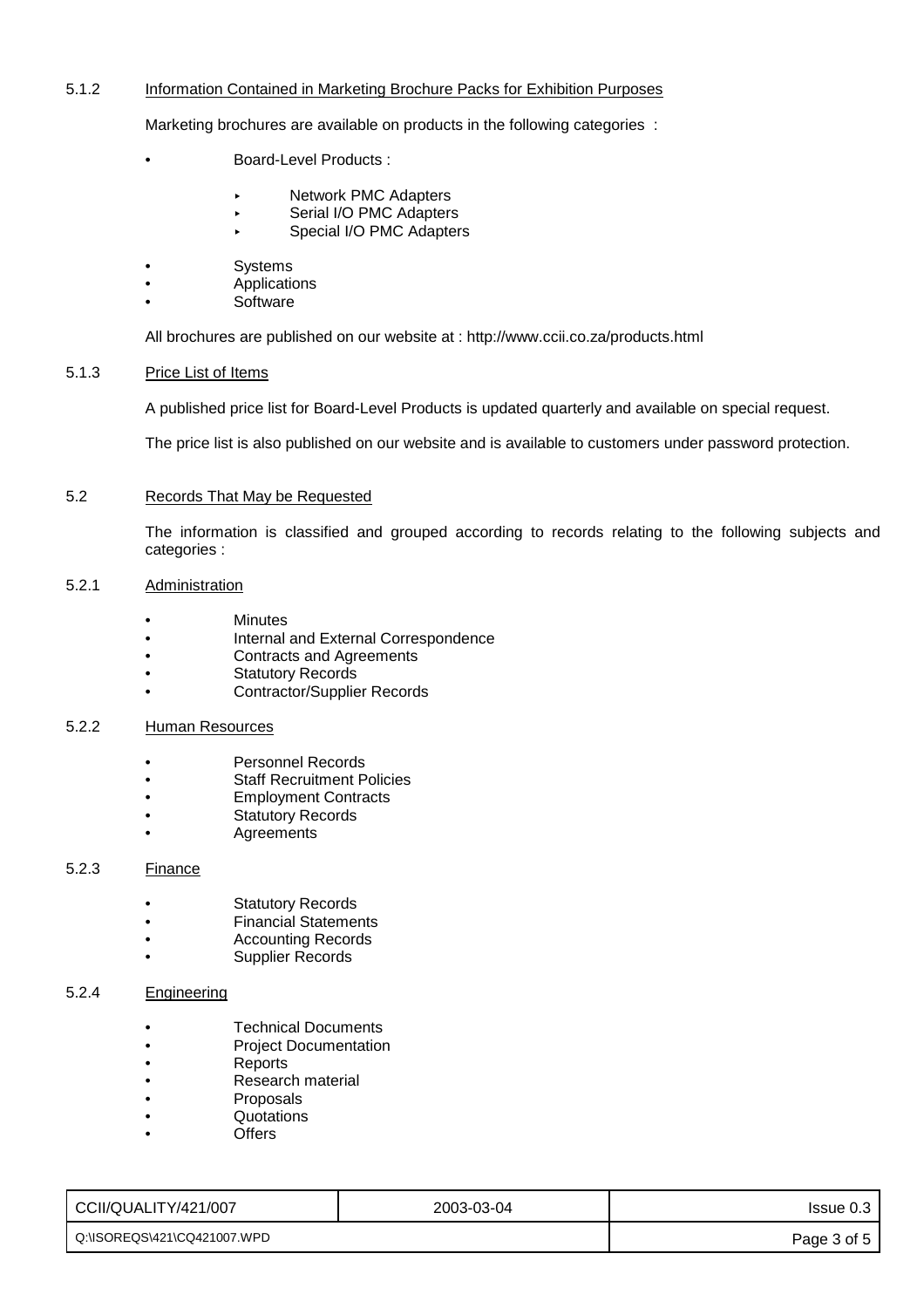## 5.1.2 Information Contained in Marketing Brochure Packs for Exhibition Purposes

Marketing brochures are available on products in the following categories :

- Board-Level Products :
	- Network PMC Adapters
	- Serial I/O PMC Adapters
	- Special I/O PMC Adapters
- **Systems**
- Applications
- Software

All brochures are published on our website at : http://www.ccii.co.za/products.html

## 5.1.3 Price List of Items

A published price list for Board-Level Products is updated quarterly and available on special request.

The price list is also published on our website and is available to customers under password protection.

### 5.2 Records That May be Requested

The information is classified and grouped according to records relating to the following subjects and categories :

## 5.2.1 Administration

- **Minutes**
- Internal and External Correspondence
- Contracts and Agreements
- Statutory Records
- Contractor/Supplier Records

## 5.2.2 Human Resources

- Personnel Records
- Staff Recruitment Policies
- Employment Contracts
- **Statutory Records**
- **Agreements**

## 5.2.3 Finance

- **Statutory Records**
- Financial Statements
- Accounting Records
- Supplier Records

## 5.2.4 Engineering

- Technical Documents
- Project Documentation
- Reports
- Research material
- Proposals
- Quotations
- **Offers**

| CCII/QUALITY/421/007          | 2003-03-04 | Issue 0.3   |
|-------------------------------|------------|-------------|
| l_Q:\ISOREQS\421\CQ421007.WPD |            | Page 3 of 5 |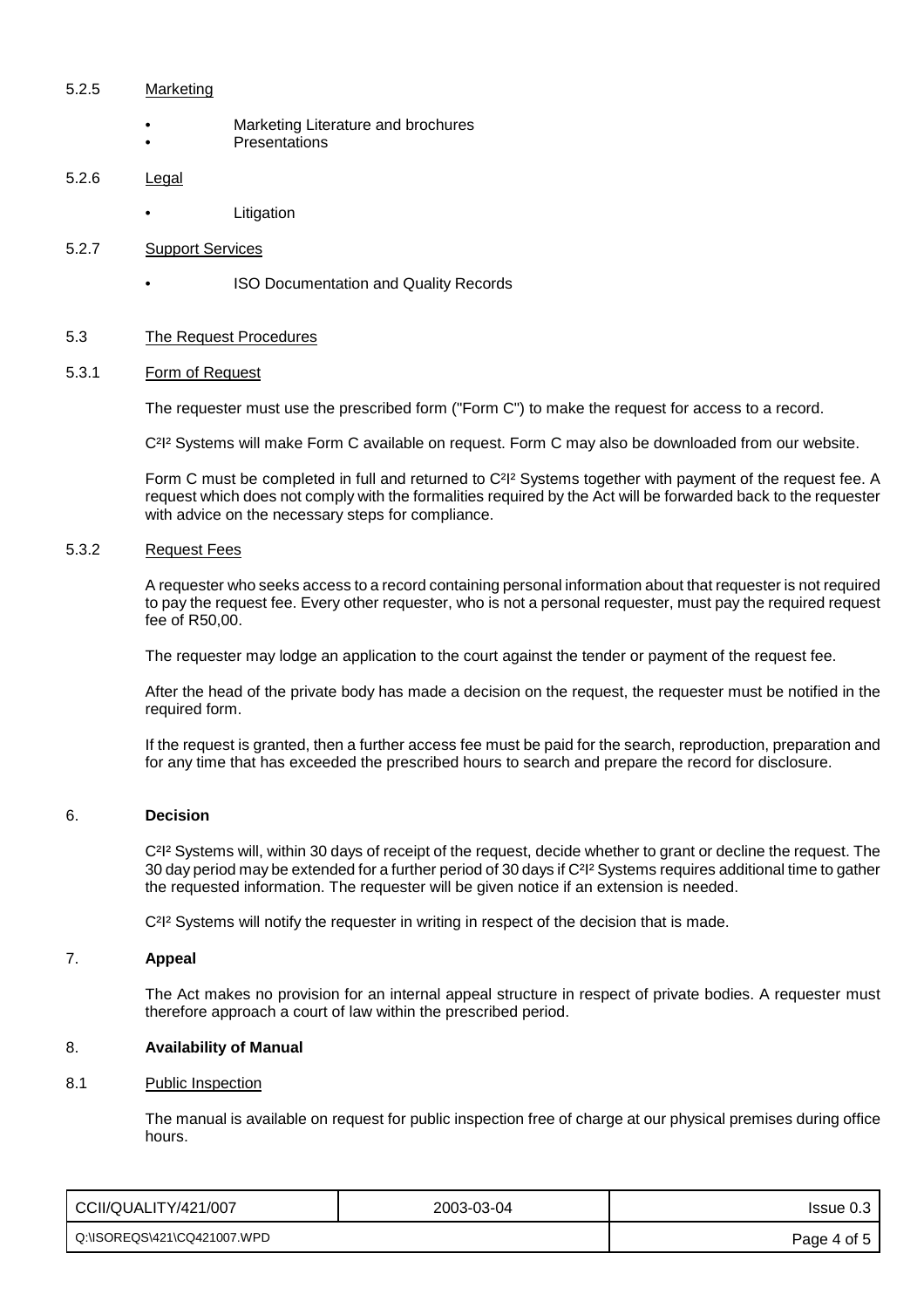#### 5.2.5 Marketing

- Marketing Literature and brochures **Presentations**
- 5.2.6 Legal
	- **Litigation**

## 5.2.7 Support Services

• ISO Documentation and Quality Records

## 5.3 The Request Procedures

#### 5.3.1 Form of Request

The requester must use the prescribed form ("Form C") to make the request for access to a record.

C<sup>2</sup><sup>12</sup> Systems will make Form C available on request. Form C may also be downloaded from our website.

Form C must be completed in full and returned to C<sup>2</sup>I<sup>2</sup> Systems together with payment of the request fee. A request which does not comply with the formalities required by the Act will be forwarded back to the requester with advice on the necessary steps for compliance.

#### 5.3.2 Request Fees

A requester who seeks access to a record containing personal information about that requester is not required to pay the request fee. Every other requester, who is not a personal requester, must pay the required request fee of R50,00.

The requester may lodge an application to the court against the tender or payment of the request fee.

After the head of the private body has made a decision on the request, the requester must be notified in the required form.

If the request is granted, then a further access fee must be paid for the search, reproduction, preparation and for any time that has exceeded the prescribed hours to search and prepare the record for disclosure.

#### 6. **Decision**

C<sup>2</sup>I<sup>2</sup> Systems will, within 30 days of receipt of the request, decide whether to grant or decline the request. The 30 day period may be extended for a further period of 30 days if C<sup>2</sup>I<sup>2</sup> Systems requires additional time to gather the requested information. The requester will be given notice if an extension is needed.

C<sup>2</sup>I<sup>2</sup> Systems will notify the requester in writing in respect of the decision that is made.

## 7. **Appeal**

The Act makes no provision for an internal appeal structure in respect of private bodies. A requester must therefore approach a court of law within the prescribed period.

#### 8. **Availability of Manual**

## 8.1 Public Inspection

The manual is available on request for public inspection free of charge at our physical premises during office hours.

| CCII/QUALITY/421/007        | 2003-03-04 | Issue 0.3   |
|-----------------------------|------------|-------------|
| Q:\ISOREQS\421\CQ421007.WPD |            | Page 4 of 5 |